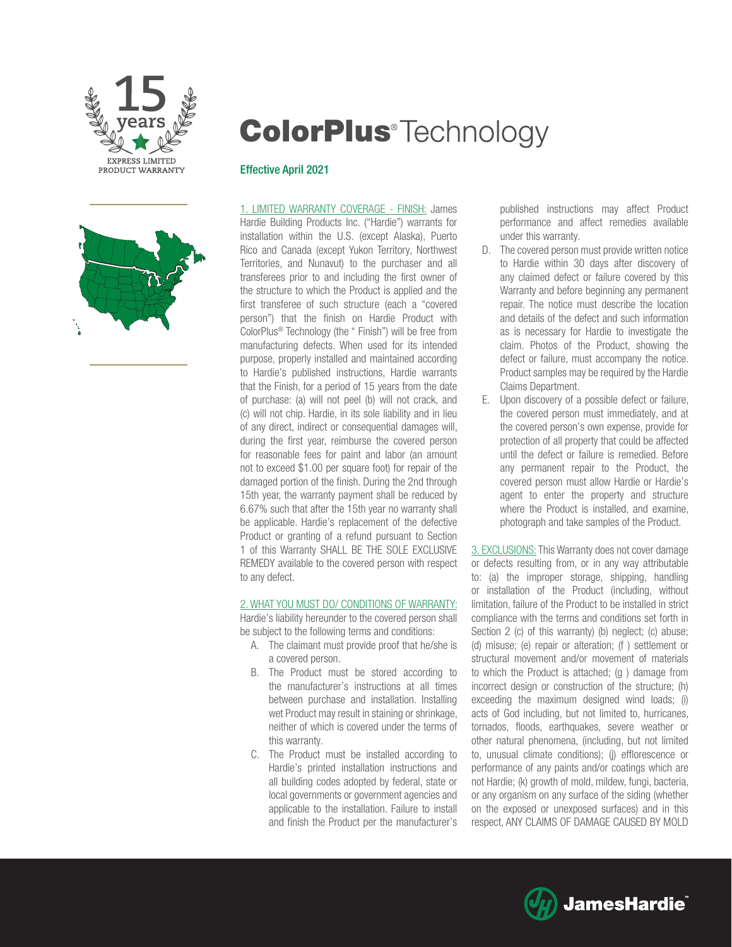

# **ColorPlus**<sup>®</sup>Technology

#### Effective April 2021



1. LIMITED WARRANTY COVERAGE - FINISH: James Hardie Building Products Inc. ("Hardie") warrants for installation within the U.S. (except Alaska), Puerto Rico and Canada (except Yukon Territory, Northwest Territories, and Nunavut) to the purchaser and all transferees prior to and including the first owner of the structure to which the Product is applied and the first transferee of such structure (each a "covered person") that the finish on Hardie Product with ColorPlus® Technology (the " Finish") will be free from manufacturing defects. When used for its intended purpose, properly installed and maintained according to Hardie's published instructions, Hardie warrants that the Finish, for a period of 15 years from the date of purchase: (a) will not peel (b) will not crack, and (c) will not chip. Hardie, in its sole liability and in lieu of any direct, indirect or consequential damages will, during the first year, reimburse the covered person for reasonable fees for paint and labor (an amount not to exceed \$1.00 per square foot) for repair of the damaged portion of the finish. During the 2nd through 15th year, the warranty payment shall be reduced by 6.67% such that after the 15th year no warranty shall be applicable. Hardie's replacement of the defective Product or granting of a refund pursuant to Section 1 of this Warranty SHALL BE THE SOLE EXCLUSIVE REMEDY available to the covered person with respect to any defect.

#### 2. WHAT YOU MUST DO/ CONDITIONS OF WARRANTY:

Hardie's liability hereunder to the covered person shall be subject to the following terms and conditions:

- A. The claimant must provide proof that he/she is a covered person.
- B. The Product must be stored according to the manufacturer's instructions at all times between purchase and installation. Installing wet Product may result in staining or shrinkage, neither of which is covered under the terms of this warranty.
- C. The Product must be installed according to Hardie's printed installation instructions and all building codes adopted by federal, state or local governments or government agencies and applicable to the installation. Failure to install and finish the Product per the manufacturer's

published instructions may affect Product performance and affect remedies available under this warranty.

- D. The covered person must provide written notice to Hardie within 30 days after discovery of any claimed defect or failure covered by this Warranty and before beginning any permanent repair. The notice must describe the location and details of the defect and such information as is necessary for Hardie to investigate the claim. Photos of the Product, showing the defect or failure, must accompany the notice. Product samples may be required by the Hardie Claims Department.
- E. Upon discovery of a possible defect or failure, the covered person must immediately, and at the covered person's own expense, provide for protection of all property that could be affected until the defect or failure is remedied. Before any permanent repair to the Product, the covered person must allow Hardie or Hardie's agent to enter the property and structure where the Product is installed, and examine, photograph and take samples of the Product.

3. EXCLUSIONS: This Warranty does not cover damage or defects resulting from, or in any way attributable to: (a) the improper storage, shipping, handling or installation of the Product (including, without limitation, failure of the Product to be installed in strict compliance with the terms and conditions set forth in Section 2 (c) of this warranty) (b) neglect; (c) abuse; (d) misuse; (e) repair or alteration; (f ) settlement or structural movement and/or movement of materials to which the Product is attached; (g ) damage from incorrect design or construction of the structure; (h) exceeding the maximum designed wind loads; (i) acts of God including, but not limited to, hurricanes, tornados, floods, earthquakes, severe weather or other natural phenomena, (including, but not limited to, unusual climate conditions); (j) efflorescence or performance of any paints and/or coatings which are not Hardie; (k) growth of mold, mildew, fungi, bacteria, or any organism on any surface of the siding (whether on the exposed or unexposed surfaces) and in this respect, ANY CLAIMS OF DAMAGE CAUSED BY MOLD